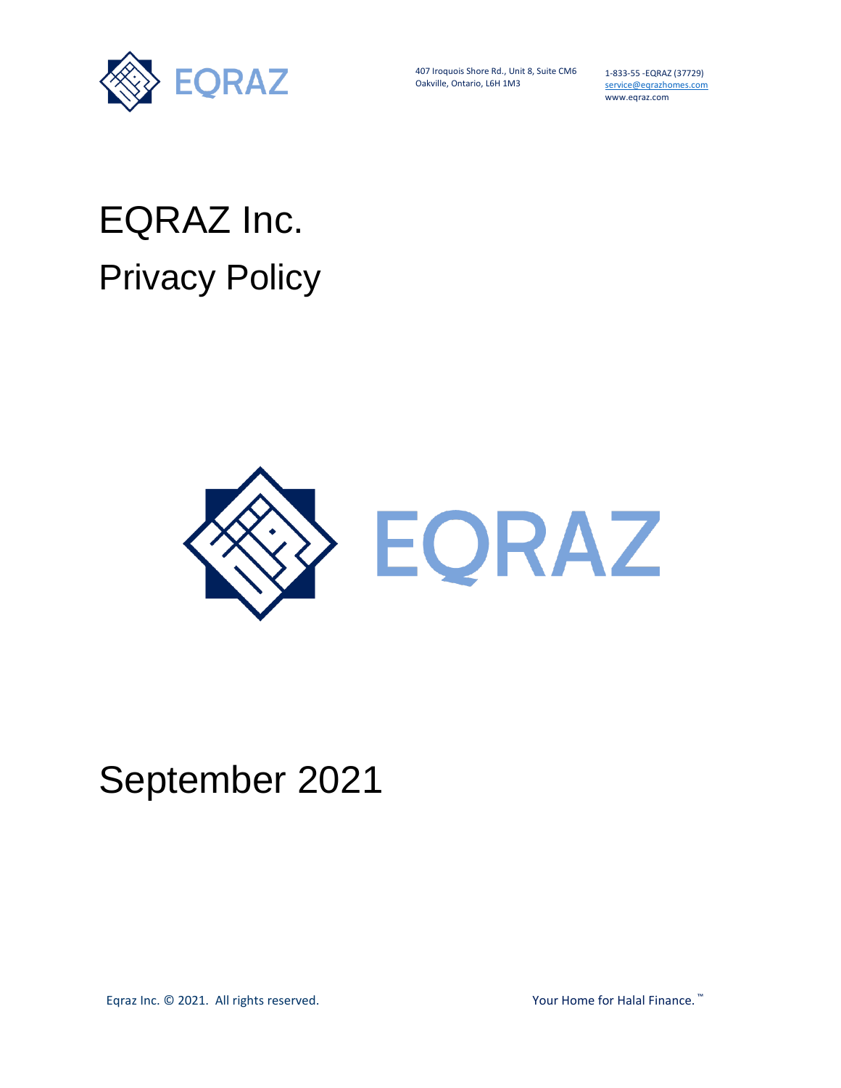

407 Iroquois Shore Rd., Unit 8, Suite CM6 Oakville, Ontario, L6H 1M3

1-833-55 -EQRAZ (37729) service@eqrazhomes.com www.eqraz.com

# EQRAZ Inc. Privacy Policy



# September 2021

Eqraz Inc. © 2021. All rights reserved. Your Home for Halal Finance. ™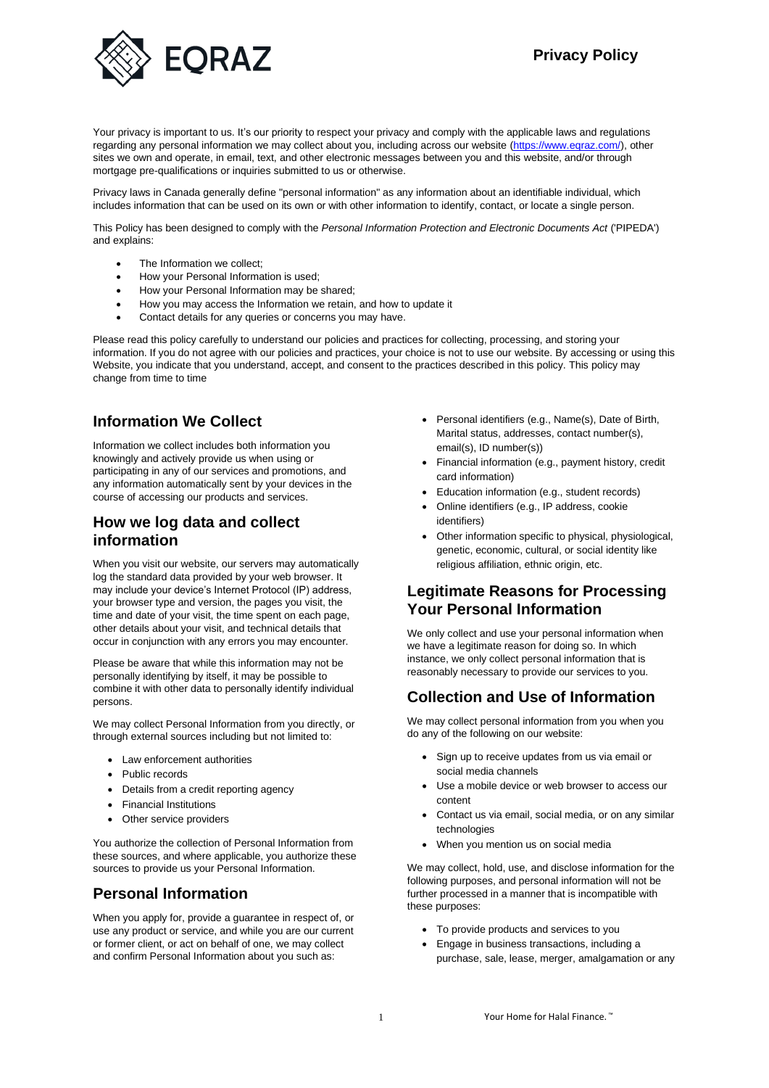# **Privacy Policy**



Your privacy is important to us. It's our priority to respect your privacy and comply with the applicable laws and regulations regarding any personal information we may collect about you, including across our website [\(https://www.eqraz.com/\)](https://www.eqraz.com/), other sites we own and operate, in email, text, and other electronic messages between you and this website, and/or through mortgage pre-qualifications or inquiries submitted to us or otherwise.

Privacy laws in Canada generally define "personal information" as any information about an identifiable individual, which includes information that can be used on its own or with other information to identify, contact, or locate a single person.

This Policy has been designed to comply with the *Personal Information Protection and Electronic Documents Act* ('PIPEDA') and explains:

- The Information we collect;
- How your Personal Information is used;
- How your Personal Information may be shared;
- How you may access the Information we retain, and how to update it
- Contact details for any queries or concerns you may have.

Please read this policy carefully to understand our policies and practices for collecting, processing, and storing your information. If you do not agree with our policies and practices, your choice is not to use our website. By accessing or using this Website, you indicate that you understand, accept, and consent to the practices described in this policy. This policy may change from time to time

#### **Information We Collect**

Information we collect includes both information you knowingly and actively provide us when using or participating in any of our services and promotions, and any information automatically sent by your devices in the course of accessing our products and services.

#### **How we log data and collect information**

When you visit our website, our servers may automatically log the standard data provided by your web browser. It may include your device's Internet Protocol (IP) address, your browser type and version, the pages you visit, the time and date of your visit, the time spent on each page, other details about your visit, and technical details that occur in conjunction with any errors you may encounter.

Please be aware that while this information may not be personally identifying by itself, it may be possible to combine it with other data to personally identify individual persons.

We may collect Personal Information from you directly, or through external sources including but not limited to:

- Law enforcement authorities
- Public records
- Details from a credit reporting agency
- Financial Institutions
- Other service providers

You authorize the collection of Personal Information from these sources, and where applicable, you authorize these sources to provide us your Personal Information.

# **Personal Information**

When you apply for, provide a guarantee in respect of, or use any product or service, and while you are our current or former client, or act on behalf of one, we may collect and confirm Personal Information about you such as:

- Personal identifiers (e.g., Name(s), Date of Birth, Marital status, addresses, contact number(s), email(s), ID number(s))
- Financial information (e.g., payment history, credit card information)
- Education information (e.g., student records)
- Online identifiers (e.g., IP address, cookie identifiers)
- Other information specific to physical, physiological, genetic, economic, cultural, or social identity like religious affiliation, ethnic origin, etc.

#### **Legitimate Reasons for Processing Your Personal Information**

We only collect and use your personal information when we have a legitimate reason for doing so. In which instance, we only collect personal information that is reasonably necessary to provide our services to you.

# **Collection and Use of Information**

We may collect personal information from you when you do any of the following on our website:

- Sign up to receive updates from us via email or social media channels
- Use a mobile device or web browser to access our content
- Contact us via email, social media, or on any similar technologies
- When you mention us on social media

We may collect, hold, use, and disclose information for the following purposes, and personal information will not be further processed in a manner that is incompatible with these purposes:

- To provide products and services to you
- Engage in business transactions, including a purchase, sale, lease, merger, amalgamation or any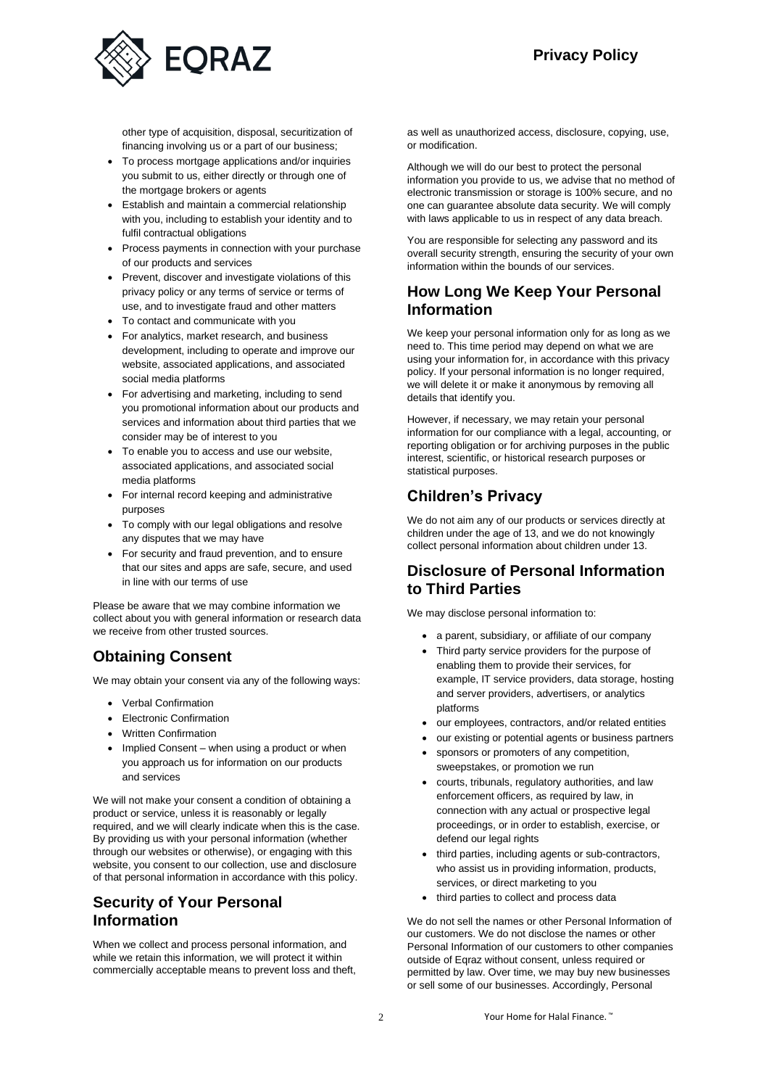

other type of acquisition, disposal, securitization of financing involving us or a part of our business;

- To process mortgage applications and/or inquiries you submit to us, either directly or through one of the mortgage brokers or agents
- Establish and maintain a commercial relationship with you, including to establish your identity and to fulfil contractual obligations
- Process payments in connection with your purchase of our products and services
- Prevent, discover and investigate violations of this privacy policy or any terms of service or terms of use, and to investigate fraud and other matters
- To contact and communicate with you
- For analytics, market research, and business development, including to operate and improve our website, associated applications, and associated social media platforms
- For advertising and marketing, including to send you promotional information about our products and services and information about third parties that we consider may be of interest to you
- To enable you to access and use our website, associated applications, and associated social media platforms
- For internal record keeping and administrative purposes
- To comply with our legal obligations and resolve any disputes that we may have
- For security and fraud prevention, and to ensure that our sites and apps are safe, secure, and used in line with our terms of use

Please be aware that we may combine information we collect about you with general information or research data we receive from other trusted sources.

#### **Obtaining Consent**

We may obtain your consent via any of the following ways:

- Verbal Confirmation
- Electronic Confirmation
- Written Confirmation
- Implied Consent when using a product or when you approach us for information on our products and services

We will not make your consent a condition of obtaining a product or service, unless it is reasonably or legally required, and we will clearly indicate when this is the case. By providing us with your personal information (whether through our websites or otherwise), or engaging with this website, you consent to our collection, use and disclosure of that personal information in accordance with this policy.

# **Security of Your Personal Information**

When we collect and process personal information, and while we retain this information, we will protect it within commercially acceptable means to prevent loss and theft, as well as unauthorized access, disclosure, copying, use, or modification.

Although we will do our best to protect the personal information you provide to us, we advise that no method of electronic transmission or storage is 100% secure, and no one can guarantee absolute data security. We will comply with laws applicable to us in respect of any data breach.

You are responsible for selecting any password and its overall security strength, ensuring the security of your own information within the bounds of our services.

#### **How Long We Keep Your Personal Information**

We keep your personal information only for as long as we need to. This time period may depend on what we are using your information for, in accordance with this privacy policy. If your personal information is no longer required, we will delete it or make it anonymous by removing all details that identify you.

However, if necessary, we may retain your personal information for our compliance with a legal, accounting, or reporting obligation or for archiving purposes in the public interest, scientific, or historical research purposes or statistical purposes.

# **Children's Privacy**

We do not aim any of our products or services directly at children under the age of 13, and we do not knowingly collect personal information about children under 13.

#### **Disclosure of Personal Information to Third Parties**

We may disclose personal information to:

- a parent, subsidiary, or affiliate of our company
- Third party service providers for the purpose of enabling them to provide their services, for example, IT service providers, data storage, hosting and server providers, advertisers, or analytics platforms
- our employees, contractors, and/or related entities
- our existing or potential agents or business partners
- sponsors or promoters of any competition, sweepstakes, or promotion we run
- courts, tribunals, regulatory authorities, and law enforcement officers, as required by law, in connection with any actual or prospective legal proceedings, or in order to establish, exercise, or defend our legal rights
- third parties, including agents or sub-contractors, who assist us in providing information, products, services, or direct marketing to you
- third parties to collect and process data

We do not sell the names or other Personal Information of our customers. We do not disclose the names or other Personal Information of our customers to other companies outside of Eqraz without consent, unless required or permitted by law. Over time, we may buy new businesses or sell some of our businesses. Accordingly, Personal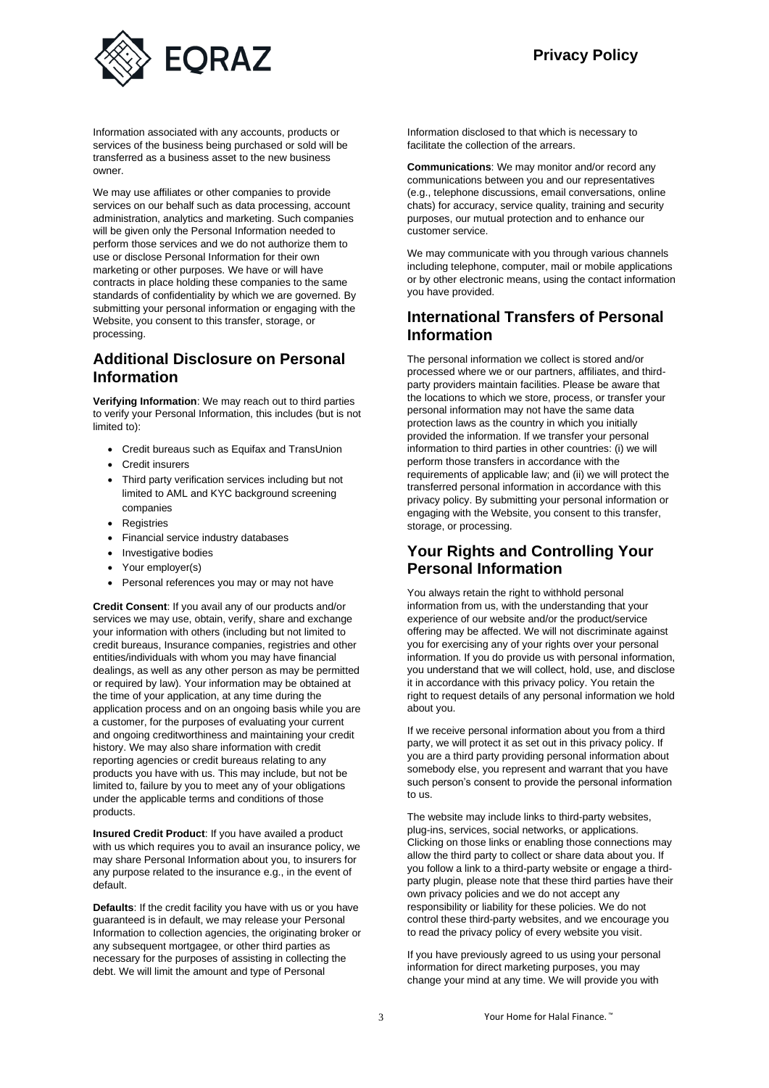

Information associated with any accounts, products or services of the business being purchased or sold will be transferred as a business asset to the new business owner.

We may use affiliates or other companies to provide services on our behalf such as data processing, account administration, analytics and marketing. Such companies will be given only the Personal Information needed to perform those services and we do not authorize them to use or disclose Personal Information for their own marketing or other purposes. We have or will have contracts in place holding these companies to the same standards of confidentiality by which we are governed. By submitting your personal information or engaging with the Website, you consent to this transfer, storage, or processing.

#### **Additional Disclosure on Personal Information**

**Verifying Information**: We may reach out to third parties to verify your Personal Information, this includes (but is not limited to):

- Credit bureaus such as Equifax and TransUnion
- Credit insurers
- Third party verification services including but not limited to AML and KYC background screening companies
- Registries
- Financial service industry databases
- Investigative bodies
- Your employer(s)
- Personal references you may or may not have

**Credit Consent**: If you avail any of our products and/or services we may use, obtain, verify, share and exchange your information with others (including but not limited to credit bureaus, Insurance companies, registries and other entities/individuals with whom you may have financial dealings, as well as any other person as may be permitted or required by law). Your information may be obtained at the time of your application, at any time during the application process and on an ongoing basis while you are a customer, for the purposes of evaluating your current and ongoing creditworthiness and maintaining your credit history. We may also share information with credit reporting agencies or credit bureaus relating to any products you have with us. This may include, but not be limited to, failure by you to meet any of your obligations under the applicable terms and conditions of those products.

**Insured Credit Product**: If you have availed a product with us which requires you to avail an insurance policy, we may share Personal Information about you, to insurers for any purpose related to the insurance e.g., in the event of default.

**Defaults**: If the credit facility you have with us or you have guaranteed is in default, we may release your Personal Information to collection agencies, the originating broker or any subsequent mortgagee, or other third parties as necessary for the purposes of assisting in collecting the debt. We will limit the amount and type of Personal

Information disclosed to that which is necessary to facilitate the collection of the arrears.

**Communications**: We may monitor and/or record any communications between you and our representatives (e.g., telephone discussions, email conversations, online chats) for accuracy, service quality, training and security purposes, our mutual protection and to enhance our customer service.

We may communicate with you through various channels including telephone, computer, mail or mobile applications or by other electronic means, using the contact information you have provided.

#### **International Transfers of Personal Information**

The personal information we collect is stored and/or processed where we or our partners, affiliates, and thirdparty providers maintain facilities. Please be aware that the locations to which we store, process, or transfer your personal information may not have the same data protection laws as the country in which you initially provided the information. If we transfer your personal information to third parties in other countries: (i) we will perform those transfers in accordance with the requirements of applicable law; and (ii) we will protect the transferred personal information in accordance with this privacy policy. By submitting your personal information or engaging with the Website, you consent to this transfer, storage, or processing.

#### **Your Rights and Controlling Your Personal Information**

You always retain the right to withhold personal information from us, with the understanding that your experience of our website and/or the product/service offering may be affected. We will not discriminate against you for exercising any of your rights over your personal information. If you do provide us with personal information, you understand that we will collect, hold, use, and disclose it in accordance with this privacy policy. You retain the right to request details of any personal information we hold about you.

If we receive personal information about you from a third party, we will protect it as set out in this privacy policy. If you are a third party providing personal information about somebody else, you represent and warrant that you have such person's consent to provide the personal information to us.

The website may include links to third-party websites, plug-ins, services, social networks, or applications. Clicking on those links or enabling those connections may allow the third party to collect or share data about you. If you follow a link to a third-party website or engage a thirdparty plugin, please note that these third parties have their own privacy policies and we do not accept any responsibility or liability for these policies. We do not control these third-party websites, and we encourage you to read the privacy policy of every website you visit.

If you have previously agreed to us using your personal information for direct marketing purposes, you may change your mind at any time. We will provide you with